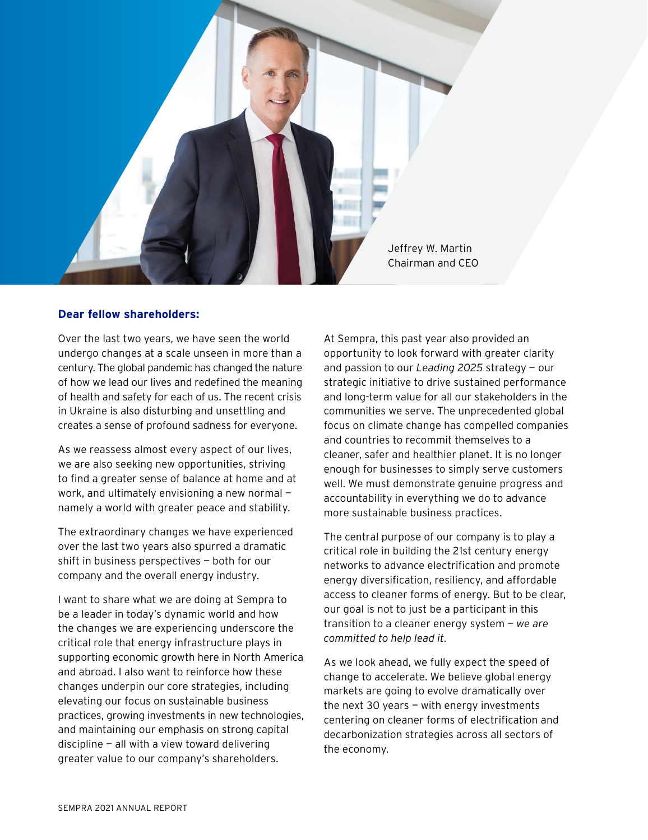

# **Dear fellow shareholders:**

Over the last two years, we have seen the world undergo changes at a scale unseen in more than a century. The global pandemic has changed the nature of how we lead our lives and redefined the meaning of health and safety for each of us. The recent crisis in Ukraine is also disturbing and unsettling and creates a sense of profound sadness for everyone.

As we reassess almost every aspect of our lives, we are also seeking new opportunities, striving to find a greater sense of balance at home and at work, and ultimately envisioning a new normal namely a world with greater peace and stability.

The extraordinary changes we have experienced over the last two years also spurred a dramatic shift in business perspectives — both for our company and the overall energy industry.

I want to share what we are doing at Sempra to be a leader in today's dynamic world and how the changes we are experiencing underscore the critical role that energy infrastructure plays in supporting economic growth here in North America and abroad. I also want to reinforce how these changes underpin our core strategies, including elevating our focus on sustainable business practices, growing investments in new technologies, and maintaining our emphasis on strong capital discipline  $-$  all with a view toward delivering greater value to our company's shareholders.

At Sempra, this past year also provided an opportunity to look forward with greater clarity and passion to our *Leading 2025* strategy — our strategic initiative to drive sustained performance and long-term value for all our stakeholders in the communities we serve. The unprecedented global focus on climate change has compelled companies and countries to recommit themselves to a cleaner, safer and healthier planet. It is no longer enough for businesses to simply serve customers well. We must demonstrate genuine progress and accountability in everything we do to advance more sustainable business practices.

The central purpose of our company is to play a critical role in building the 21st century energy networks to advance electrification and promote energy diversification, resiliency, and affordable access to cleaner forms of energy. But to be clear, our goal is not to just be a participant in this transition to a cleaner energy system — *we are committed to help lead it*.

As we look ahead, we fully expect the speed of change to accelerate. We believe global energy markets are going to evolve dramatically over the next 30 years — with energy investments centering on cleaner forms of electrification and decarbonization strategies across all sectors of the economy.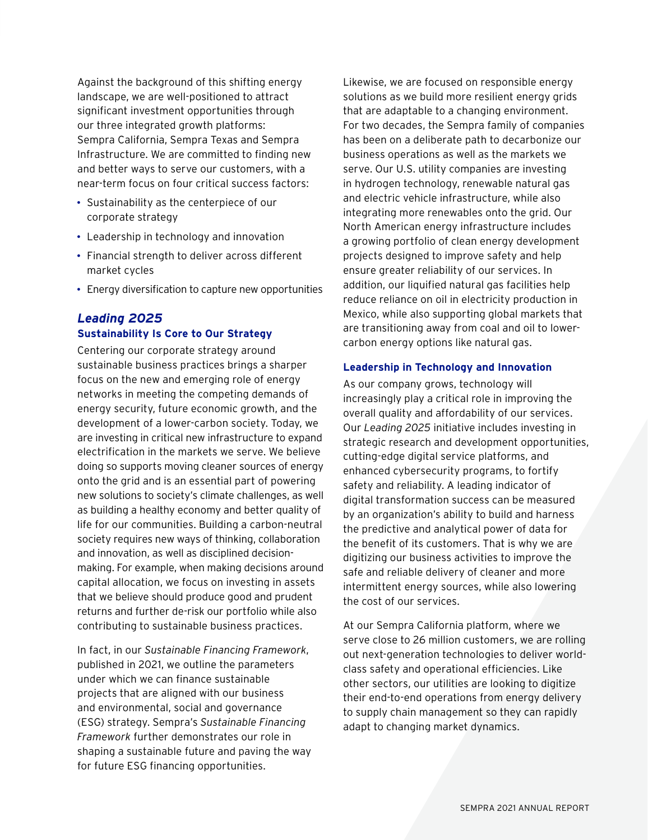Against the background of this shifting energy landscape, we are well-positioned to attract significant investment opportunities through our three integrated growth platforms: Sempra California, Sempra Texas and Sempra Infrastructure. We are committed to finding new and better ways to serve our customers, with a near-term focus on four critical success factors:

- Sustainability as the centerpiece of our corporate strategy
- Leadership in technology and innovation
- Financial strength to deliver across different market cycles
- Energy diversification to capture new opportunities

# *Leading 2025* **Sustainability Is Core to Our Strategy**

Centering our corporate strategy around sustainable business practices brings a sharper focus on the new and emerging role of energy networks in meeting the competing demands of energy security, future economic growth, and the development of a lower-carbon society. Today, we are investing in critical new infrastructure to expand electrification in the markets we serve. We believe doing so supports moving cleaner sources of energy onto the grid and is an essential part of powering new solutions to society's climate challenges, as well as building a healthy economy and better quality of life for our communities. Building a carbon-neutral society requires new ways of thinking, collaboration and innovation, as well as disciplined decisionmaking. For example, when making decisions around capital allocation, we focus on investing in assets that we believe should produce good and prudent returns and further de-risk our portfolio while also contributing to sustainable business practices.

In fact, in our *Sustainable Financing Framework*, published in 2021, we outline the parameters under which we can finance sustainable projects that are aligned with our business and environmental, social and governance (ESG) strategy. Sempra's *Sustainable Financing Framework* further demonstrates our role in shaping a sustainable future and paving the way for future ESG financing opportunities.

Likewise, we are focused on responsible energy solutions as we build more resilient energy grids that are adaptable to a changing environment. For two decades, the Sempra family of companies has been on a deliberate path to decarbonize our business operations as well as the markets we serve. Our U.S. utility companies are investing in hydrogen technology, renewable natural gas and electric vehicle infrastructure, while also integrating more renewables onto the grid. Our North American energy infrastructure includes a growing portfolio of clean energy development projects designed to improve safety and help ensure greater reliability of our services. In addition, our liquified natural gas facilities help reduce reliance on oil in electricity production in Mexico, while also supporting global markets that are transitioning away from coal and oil to lowercarbon energy options like natural gas.

# **Leadership in Technology and Innovation**

As our company grows, technology will increasingly play a critical role in improving the overall quality and affordability of our services. Our *Leading 2025* initiative includes investing in strategic research and development opportunities, cutting-edge digital service platforms, and enhanced cybersecurity programs, to fortify safety and reliability. A leading indicator of digital transformation success can be measured by an organization's ability to build and harness the predictive and analytical power of data for the benefit of its customers. That is why we are digitizing our business activities to improve the safe and reliable delivery of cleaner and more intermittent energy sources, while also lowering the cost of our services.

At our Sempra California platform, where we serve close to 26 million customers, we are rolling out next-generation technologies to deliver worldclass safety and operational efficiencies. Like other sectors, our utilities are looking to digitize their end-to-end operations from energy delivery to supply chain management so they can rapidly adapt to changing market dynamics.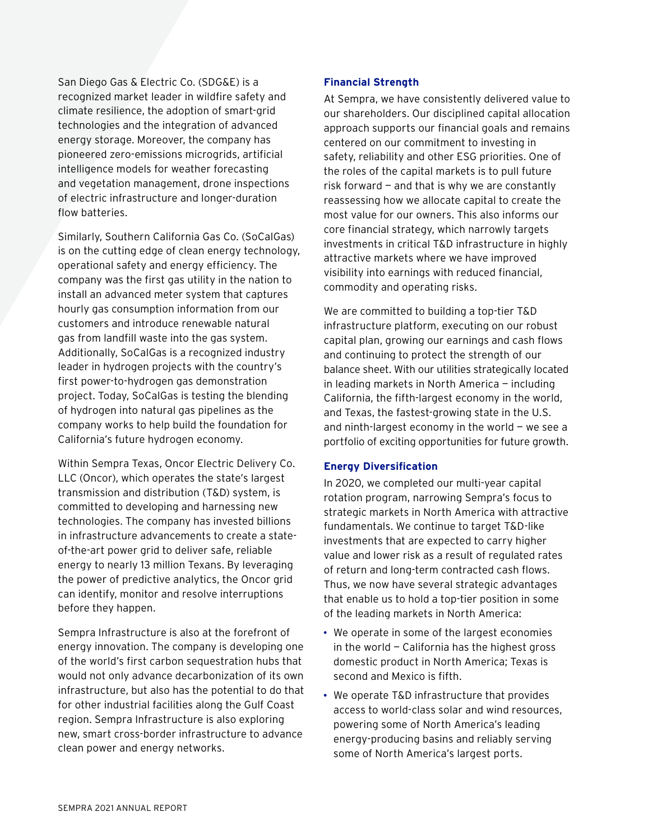San Diego Gas & Electric Co. (SDG&E) is a recognized market leader in wildfire safety and climate resilience, the adoption of smart-grid technologies and the integration of advanced energy storage. Moreover, the company has pioneered zero-emissions microgrids, artificial intelligence models for weather forecasting and vegetation management, drone inspections of electric infrastructure and longer-duration flow batteries.

Similarly, Southern California Gas Co. (SoCalGas) is on the cutting edge of clean energy technology, operational safety and energy efficiency. The company was the first gas utility in the nation to install an advanced meter system that captures hourly gas consumption information from our customers and introduce renewable natural gas from landfill waste into the gas system. Additionally, SoCalGas is a recognized industry leader in hydrogen projects with the country's first power-to-hydrogen gas demonstration project. Today, SoCalGas is testing the blending of hydrogen into natural gas pipelines as the company works to help build the foundation for California's future hydrogen economy.

Within Sempra Texas, Oncor Electric Delivery Co. LLC (Oncor), which operates the state's largest transmission and distribution (T&D) system, is committed to developing and harnessing new technologies. The company has invested billions in infrastructure advancements to create a stateof-the-art power grid to deliver safe, reliable energy to nearly 13 million Texans. By leveraging the power of predictive analytics, the Oncor grid can identify, monitor and resolve interruptions before they happen.

Sempra Infrastructure is also at the forefront of energy innovation. The company is developing one of the world's first carbon sequestration hubs that would not only advance decarbonization of its own infrastructure, but also has the potential to do that for other industrial facilities along the Gulf Coast region. Sempra Infrastructure is also exploring new, smart cross-border infrastructure to advance clean power and energy networks.

# **Financial Strength**

At Sempra, we have consistently delivered value to our shareholders. Our disciplined capital allocation approach supports our financial goals and remains centered on our commitment to investing in safety, reliability and other ESG priorities. One of the roles of the capital markets is to pull future risk forward  $-$  and that is why we are constantly reassessing how we allocate capital to create the most value for our owners. This also informs our core financial strategy, which narrowly targets investments in critical T&D infrastructure in highly attractive markets where we have improved visibility into earnings with reduced financial, commodity and operating risks.

We are committed to building a top-tier T&D infrastructure platform, executing on our robust capital plan, growing our earnings and cash flows and continuing to protect the strength of our balance sheet. With our utilities strategically located in leading markets in North America — including California, the fifth-largest economy in the world, and Texas, the fastest-growing state in the U.S. and ninth-largest economy in the world  $-$  we see a portfolio of exciting opportunities for future growth.

#### **Energy Diversification**

In 2020, we completed our multi-year capital rotation program, narrowing Sempra's focus to strategic markets in North America with attractive fundamentals. We continue to target T&D-like investments that are expected to carry higher value and lower risk as a result of regulated rates of return and long-term contracted cash flows. Thus, we now have several strategic advantages that enable us to hold a top-tier position in some of the leading markets in North America:

- We operate in some of the largest economies in the world  $-$  California has the highest gross domestic product in North America; Texas is second and Mexico is fifth.
- We operate T&D infrastructure that provides access to world-class solar and wind resources, powering some of North America's leading energy-producing basins and reliably serving some of North America's largest ports.